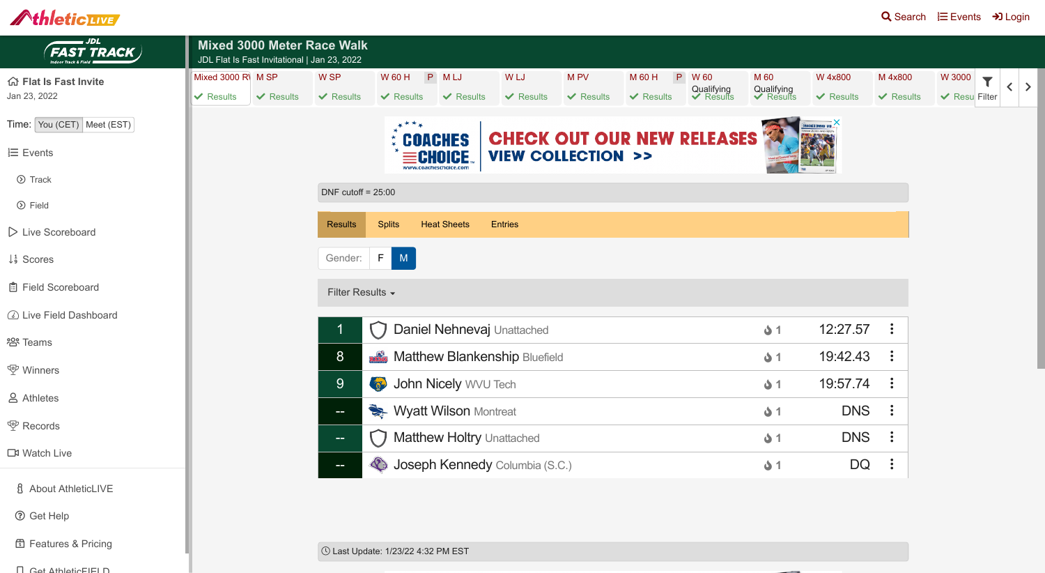! Last Update: 1/23/22 4:32 PM EST

## AthleticLIVE

| <b>JDL</b><br><b>FAST TRACK</b>                 | <b>Mixed 3000 Meter Race Walk</b><br>JDL Flat Is Fast Invitational   Jan 23, 2022 |                |                      |                                           |                            |                |                                 |                                   |                                    |                       |                                      |             |
|-------------------------------------------------|-----------------------------------------------------------------------------------|----------------|----------------------|-------------------------------------------|----------------------------|----------------|---------------------------------|-----------------------------------|------------------------------------|-----------------------|--------------------------------------|-------------|
| 命 Flat Is Fast Invite                           | Mixed 3000 R\ M SP                                                                |                | W SP                 | W 60 H                                    | P MLJ                      | W LJ           | M PV                            | M 60 H<br>P                       | W 60                               | M 60                  | W 4x800                              | M 4x800     |
| Jan 23, 2022                                    | √ Results                                                                         | $\vee$ Results | $\vee$ Results       | $\vee$ Results                            | $\vee$ Results             | $\vee$ Results | $\vee$ Results                  | $\vee$ Results                    | Qualifying<br><del>V</del> Results | Qualifying<br>Results | $\vee$ Results                       | $\vee$ Rest |
| Time: You (CET) Meet (EST)                      |                                                                                   |                |                      | $****$                                    |                            |                |                                 |                                   |                                    |                       | GNORFORD IN<br>INVITE ZINKI AND RPDS |             |
| $\equiv$ Events                                 |                                                                                   |                |                      |                                           | <b>COACHES</b><br>OICE     |                | <b>VIEW COLLECTION &gt;&gt;</b> | <b>CHECK OUT OUR NEW RELEASES</b> |                                    |                       |                                      |             |
| <b>⊙</b> Track                                  |                                                                                   |                |                      |                                           | www.coacheschoice.com      |                |                                 |                                   |                                    |                       |                                      |             |
| <b>⊙</b> Field                                  |                                                                                   |                | DNF cutoff = $25:00$ |                                           |                            |                |                                 |                                   |                                    |                       |                                      |             |
| $\triangleright$ Live Scoreboard                |                                                                                   |                | <b>Results</b>       | <b>Splits</b>                             | <b>Heat Sheets</b>         | <b>Entries</b> |                                 |                                   |                                    |                       |                                      |             |
| $\downarrow$ <sup>1</sup> / <sub>9</sub> Scores |                                                                                   |                | Gender:              | $F \parallel$<br>M                        |                            |                |                                 |                                   |                                    |                       |                                      |             |
| 自 Field Scoreboard                              |                                                                                   |                | Filter Results -     |                                           |                            |                |                                 |                                   |                                    |                       |                                      |             |
| 4 Live Field Dashboard                          |                                                                                   |                |                      |                                           |                            |                |                                 |                                   |                                    |                       |                                      |             |
| 2 <sup>9</sup> Teams                            |                                                                                   |                |                      |                                           | Daniel Nehnevaj Unattached |                |                                 |                                   |                                    | $\mathbf{\Delta}$ 1   | 12:27.57                             |             |
| <b>m</b> Winners                                |                                                                                   |                | 8                    | <b>Refs</b> Matthew Blankenship Bluefield |                            |                |                                 |                                   |                                    | $\ddot{\bullet}$ 1    | 19:42.43                             |             |
| <b>&amp; Athletes</b>                           |                                                                                   |                | 9                    | <b>COLLEGE</b>                            | John Nicely WVU Tech       |                |                                 |                                   |                                    | $\mathbf{\Delta}$ 1   | 19:57.74                             |             |
|                                                 |                                                                                   |                | $=$                  | Wyatt Wilson Montreat                     |                            |                |                                 |                                   |                                    | $\mathbf{\Delta}$ 1   | <b>DNS</b>                           |             |
| <b>m</b> Records                                |                                                                                   |                | $\sim$ $-$           | Matthew Holtry Unattached                 |                            |                |                                 |                                   |                                    | $\mathbf{\Delta}$ 1   | <b>DNS</b>                           |             |
| <b>N</b> Watch Live                             |                                                                                   |                | <b>COMP</b>          | Joseph Kennedy Columbia (S.C.)            |                            |                |                                 |                                   |                                    | $\mathbf{\Delta}$ 1   | <b>DQ</b>                            |             |
| <b>8</b> About AthleticLIVE                     |                                                                                   |                |                      |                                           |                            |                |                                 |                                   |                                    |                       |                                      |             |
| <b>3</b> Get Help                               |                                                                                   |                |                      |                                           |                            |                |                                 |                                   |                                    |                       |                                      |             |
| <b>6</b> Features & Pricing                     |                                                                                   |                |                      | 1/2011 Det Lindoto: 1/22/22 4:22 DM EST   |                            |                |                                 |                                   |                                    |                       |                                      |             |



- [Get AthleticFIELD](https://live.athletic.net/athletic-field)